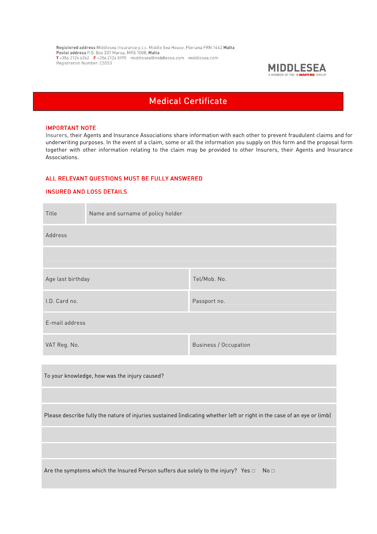Registered address Middlesea Insurance p.l.c. Middle Sea House, Floriana FRN 1442 Malta<br>Postal address P.O. Box 337 Marsa, MRS 1000, Malta<br>T+356 2124 6262 F+356 2124 8195 middlesea@middlesea.com middlesea.com Registration Number: C5553



# Medical Certificate

#### **IMPORTANT NOTE**

Insurers, their Agents and Insurance Associations share information with each other to prevent fraudulent claims and for underwriting purposes. In the event of a claim, some or all the information you supply on this form and the proposal form together with other information relating to the claim may be provided to other Insurers, their Agents and Insurance Associations.

## ALL RELEVANT QUESTIONS MUST BE FULLY ANSWERED

## INSURED AND LOSS DETAILS

| Title                                                                                                                   | Name and surname of policy holder |                       |  |
|-------------------------------------------------------------------------------------------------------------------------|-----------------------------------|-----------------------|--|
| Address                                                                                                                 |                                   |                       |  |
|                                                                                                                         |                                   |                       |  |
| Age last birthday                                                                                                       |                                   | Tel/Mob. No.          |  |
| I.D. Card no.                                                                                                           |                                   | Passport no.          |  |
| E-mail address                                                                                                          |                                   |                       |  |
| VAT Reg. No.                                                                                                            |                                   | Business / Occupation |  |
|                                                                                                                         |                                   |                       |  |
| To your knowledge, how was the injury caused?                                                                           |                                   |                       |  |
|                                                                                                                         |                                   |                       |  |
| Please describe fully the nature of injuries sustained (indicating whether left or right in the case of an eye or limb) |                                   |                       |  |
|                                                                                                                         |                                   |                       |  |
|                                                                                                                         |                                   |                       |  |
| Are the symptoms which the Insured Person suffers due solely to the injury? Yes $\Box$<br>No <sub>1</sub>               |                                   |                       |  |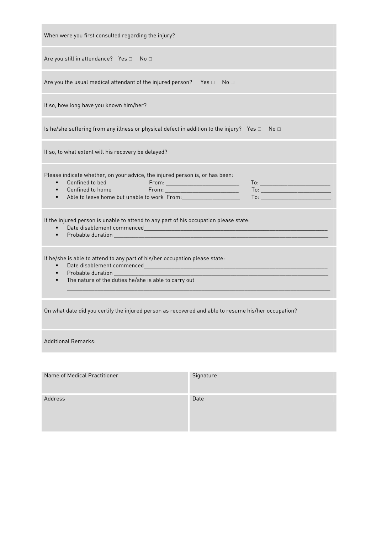| When were you first consulted regarding the injury?                                                                                                                                                                                                                                                                                                                   |  |  |  |  |
|-----------------------------------------------------------------------------------------------------------------------------------------------------------------------------------------------------------------------------------------------------------------------------------------------------------------------------------------------------------------------|--|--|--|--|
| Are you still in attendance? Yes $\Box$ No $\Box$                                                                                                                                                                                                                                                                                                                     |  |  |  |  |
| Are you the usual medical attendant of the injured person? Yes $\square$<br>No <sub>1</sub>                                                                                                                                                                                                                                                                           |  |  |  |  |
| If so, how long have you known him/her?                                                                                                                                                                                                                                                                                                                               |  |  |  |  |
| Is he/she suffering from any illness or physical defect in addition to the injury? Yes $\Box$<br>No <sub>1</sub>                                                                                                                                                                                                                                                      |  |  |  |  |
| If so, to what extent will his recovery be delayed?                                                                                                                                                                                                                                                                                                                   |  |  |  |  |
| Please indicate whether, on your advice, the injured person is, or has been:<br>Confined to bed<br>Confined to home<br>From: ______________________________                                                                                                                                                                                                           |  |  |  |  |
| If the injured person is unable to attend to any part of his occupation please state:                                                                                                                                                                                                                                                                                 |  |  |  |  |
| If he/she is able to attend to any part of his/her occupation please state:<br>Probable duration and the contract of the contract of the contract of the contract of the contract of the contract of the contract of the contract of the contract of the contract of the contract of the contract of the cont<br>The nature of the duties he/she is able to carry out |  |  |  |  |
| On what date did you certify the injured person as recovered and able to resume his/her occupation?                                                                                                                                                                                                                                                                   |  |  |  |  |
| <b>Additional Remarks:</b>                                                                                                                                                                                                                                                                                                                                            |  |  |  |  |
| Signature<br>Name of Medical Practitioner                                                                                                                                                                                                                                                                                                                             |  |  |  |  |

| Name of Medical Practitioner | Signature |
|------------------------------|-----------|
| Address                      | Date      |